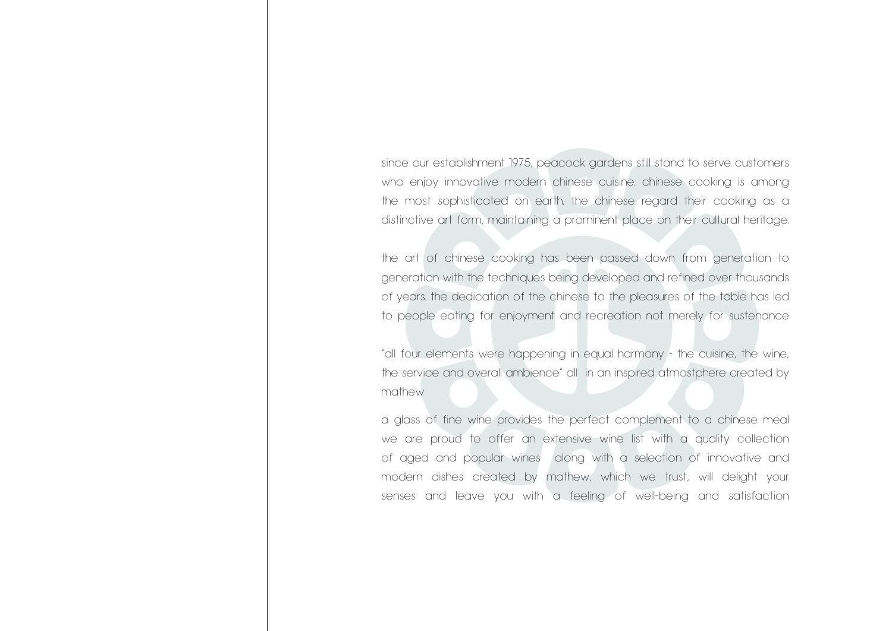since our establishment 1975, peacock gardens still stand to serve customers who enjoy innovative modern chinese cuisine. chinese cooking is among the most sophisticated on earth. the chinese regard their cooking as a distinctive art form, maintaining a prominent place on their cultural heritage.

the art of chinese cooking has been passed down from generation to generation with the techniques being developed and refined over thousands of years. the dedication of the chinese to the pleasures of the table has led to people eating for enjoyment and recreation not merely for sustenance

"all four elements were happening in equal harmony - the cuisine, the wine, the service and overall ambience" all in an inspired atmostphere created by mathew

a glass of fine wine provides the perfect complement to a chinese meal we are proud to offer an extensive wine list with a quality collection of aged and popular wines along with a selection of innovative and modern dishes created by mathew, which we trust, will delight your senses and leave you with a feeling of well-being and satisfaction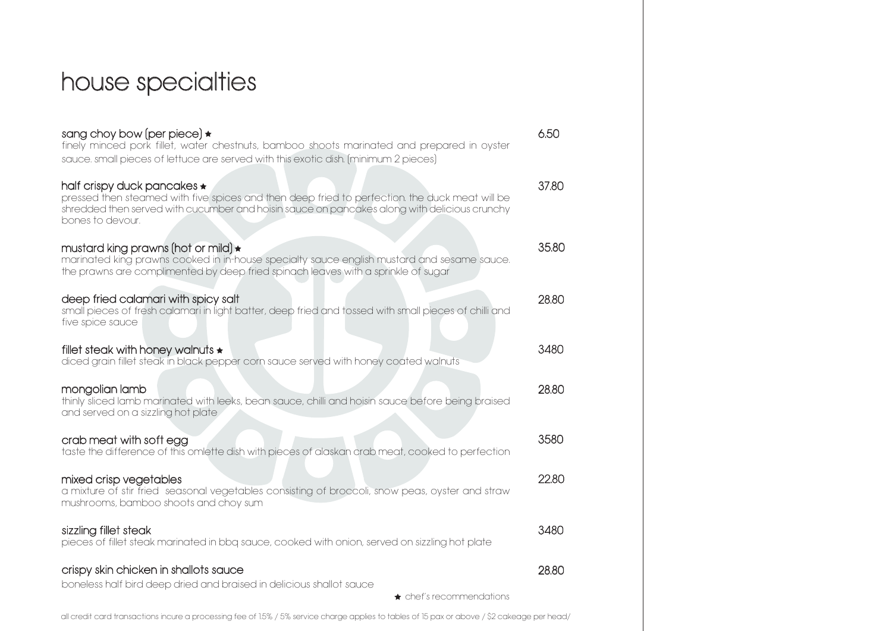# house specialties

| sang choy bow (per piece) $\star$<br>finely minced pork fillet, water chestnuts, bamboo shoots marinated and prepared in oyster<br>sauce. small pieces of lettuce are served with this exotic dish. (minimum 2 pieces)                                  | 6.50  |
|---------------------------------------------------------------------------------------------------------------------------------------------------------------------------------------------------------------------------------------------------------|-------|
| half crispy duck pancakes $\star$<br>pressed then steamed with five spices and then deep fried to perfection. the duck meat will be<br>shredded then served with cucumber and hoisin sauce on pancakes along with delicious crunchy<br>bones to devour. | 37.80 |
| mustard king prawns (hot or mild) *<br>marinated king prawns cooked in in-house specialty sauce english mustard and sesame sauce.<br>the prawns are complimented by deep fried spinach leaves with a sprinkle of sugar                                  | 35.80 |
| deep fried calamari with spicy salt<br>small pieces of fresh calamari in light batter, deep fried and tossed with small pieces of chilli and<br>five spice sauce                                                                                        | 28.80 |
| fillet steak with honey walnuts $\star$<br>diced grain fillet steak in black pepper corn sauce served with honey coated walnuts                                                                                                                         | 3480  |
| mongolian lamb<br>thinly sliced lamb marinated with leeks, bean sauce, chilli and hoisin sauce before being braised<br>and served on a sizzling hot plate                                                                                               | 28.80 |
| crab meat with soft egg<br>taste the difference of this omlette dish with pieces of alaskan crab meat, cooked to perfection                                                                                                                             | 3580  |
| mixed crisp vegetables<br>a mixture of stir fried seasonal vegetables consisting of broccoli, snow peas, oyster and straw<br>mushrooms, bamboo shoots and choy sum                                                                                      | 22.80 |
| sizzling fillet steak<br>pieces of fillet steak marinated in bbq sauce, cooked with onion, served on sizzling hot plate                                                                                                                                 | 3480  |
| crispy skin chicken in shallots sauce<br>boneless half bird deep dried and braised in delicious shallot sauce<br>$\star$ chef's recommendations                                                                                                         | 28.80 |
|                                                                                                                                                                                                                                                         |       |

all credit card transactions incure a processing fee of 1.5% / 5% service charge applies to tables of 15 pax or above / \$2 cakeage per head/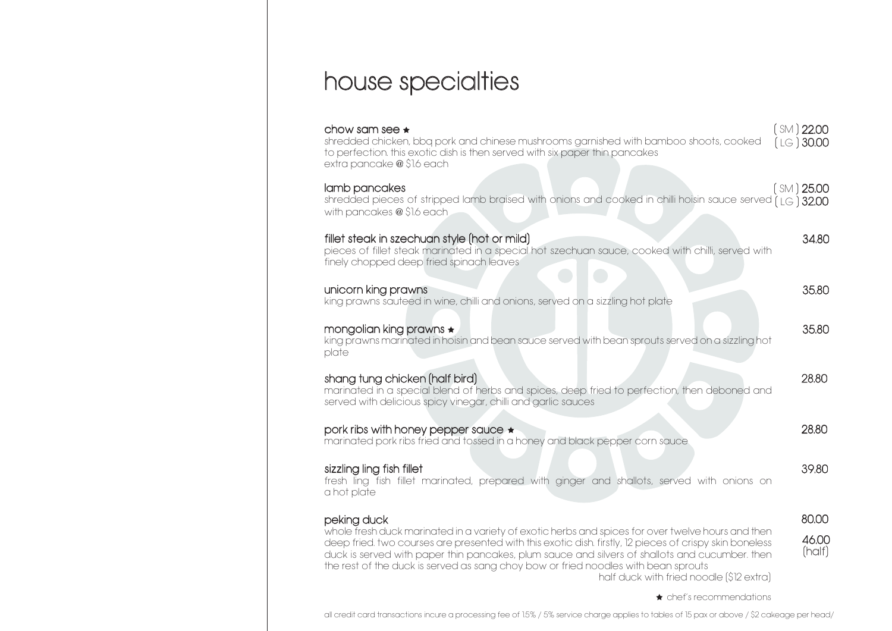## house specialties

| chow sam see $\star$<br>shredded chicken, bbq pork and chinese mushrooms garnished with bamboo shoots, cooked<br>to perfection. this exotic dish is then served with six paper thin pancakes<br>extra pancake @ \$1.6 each                                                                                                                                                                                                                                      | (M)22.00<br>$(LG)$ 30.00 |
|-----------------------------------------------------------------------------------------------------------------------------------------------------------------------------------------------------------------------------------------------------------------------------------------------------------------------------------------------------------------------------------------------------------------------------------------------------------------|--------------------------|
| lamb pancakes<br>shredded pieces of stripped lamb braised with onions and cooked in chilli hoisin sauce served $\hat{I}$ LG $\hat{J}$ 32.00<br>with pancakes @ \$1.6 each                                                                                                                                                                                                                                                                                       | (SM) 25.00               |
| fillet steak in szechuan style (hot or mild)<br>pieces of fillet steak marinated in a special hot szechuan sauce, cooked with chilli, served with<br>finely chopped deep fried spinach leaves                                                                                                                                                                                                                                                                   | 34.80                    |
| unicorn king prawns<br>king prawns sauteed in wine, chilli and onions, served on a sizzling hot plate                                                                                                                                                                                                                                                                                                                                                           | 35,80                    |
| mongolian king prawns $\star$<br>king prawns marinated in hoisin and bean sauce served with bean sprouts served on a sizzling hot<br>plate                                                                                                                                                                                                                                                                                                                      | 35,80                    |
| shang tung chicken (half bird)<br>marinated in a special blend of herbs and spices, deep fried to perfection, then deboned and<br>served with delicious spicy vinegar, chilli and garlic sauces                                                                                                                                                                                                                                                                 | 28.80                    |
| pork ribs with honey pepper sauce $\star$<br>marinated pork ribs fried and tossed in a honey and black pepper corn sauce                                                                                                                                                                                                                                                                                                                                        | 28.80                    |
| sizzling ling fish fillet<br>fresh ling fish fillet marinated, prepared with ginger and shallots, served with onions on<br>a hot plate                                                                                                                                                                                                                                                                                                                          | 39.80                    |
| peking duck<br>whole fresh duck marinated in a variety of exotic herbs and spices for over twelve hours and then<br>deep fried. two courses are presented with this exotic dish. firstly, 12 pieces of crispy skin boneless<br>duck is served with paper thin pancakes, plum sauce and silvers of shallots and cucumber. then<br>the rest of the duck is served as sang choy bow or fried noodles with bean sprouts<br>half duck with fried noodle (\$12 extra) | 80.00<br>46.00<br>(half) |

**\*** chef's recommendations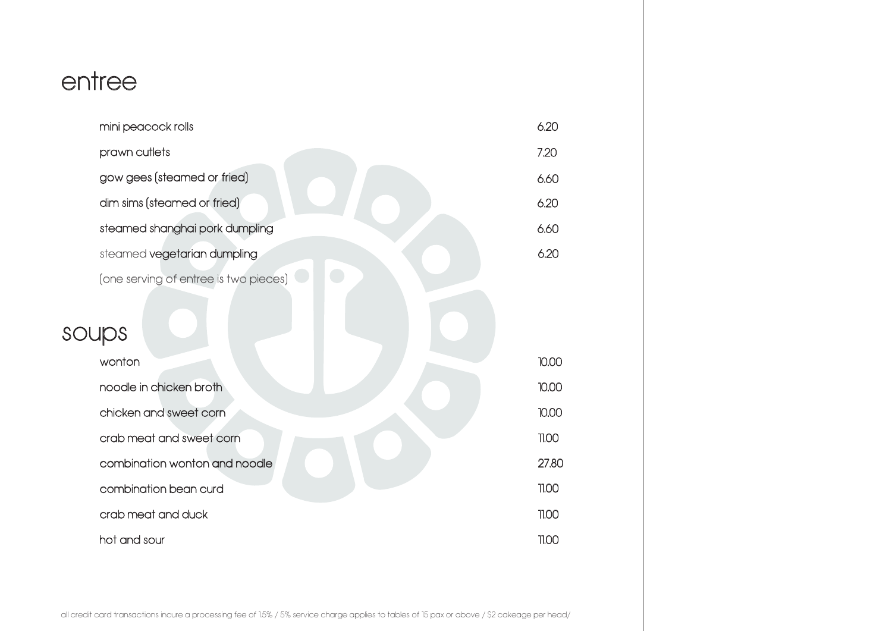## entree

|  | mini peacock rolls                    | 6.20  |
|--|---------------------------------------|-------|
|  | prawn cutlets                         | 7.20  |
|  | gow gees (steamed or fried)           | 6.60  |
|  | dim sims (steamed or fried)           | 6.20  |
|  | steamed shanghai pork dumpling        | 6.60  |
|  | steamed vegetarian dumpling           | 6.20  |
|  | (one serving of entree is two pieces) |       |
|  | soups                                 |       |
|  | wonton                                | 10.00 |
|  | noodle in chicken broth               | 10.00 |
|  | chicken and sweet corn                | 10.00 |
|  | crab meat and sweet corn              | 11.00 |
|  | combination wonton and noodle         | 27.80 |
|  | combination bean curd                 | 11.00 |
|  | crab meat and duck                    | 11.00 |
|  | hot and sour                          | 11.00 |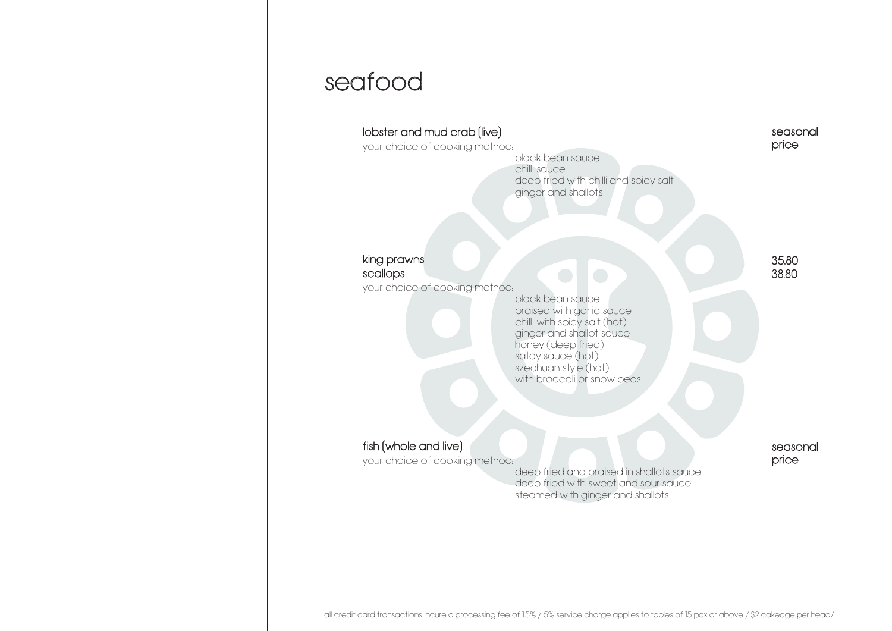#### seafood

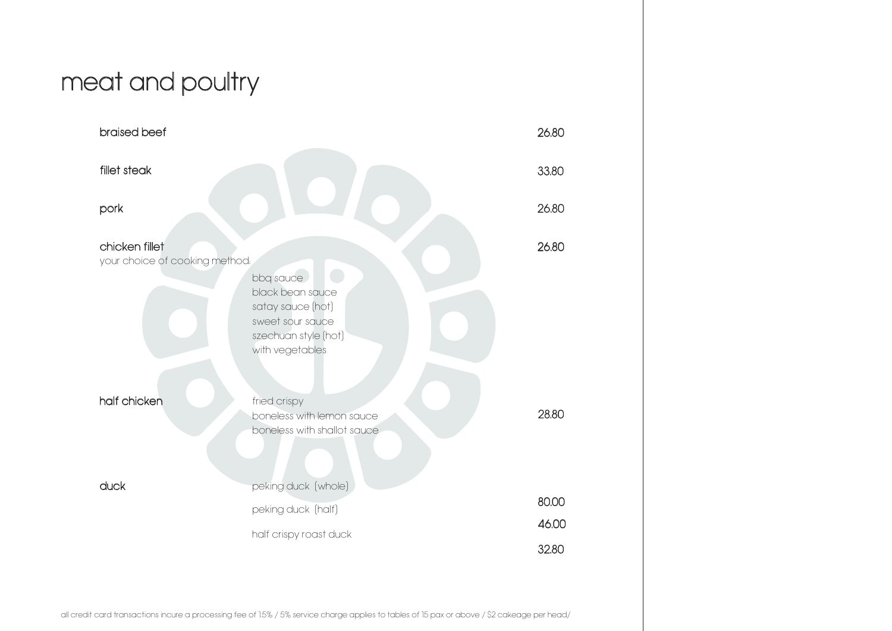# meat and poultry

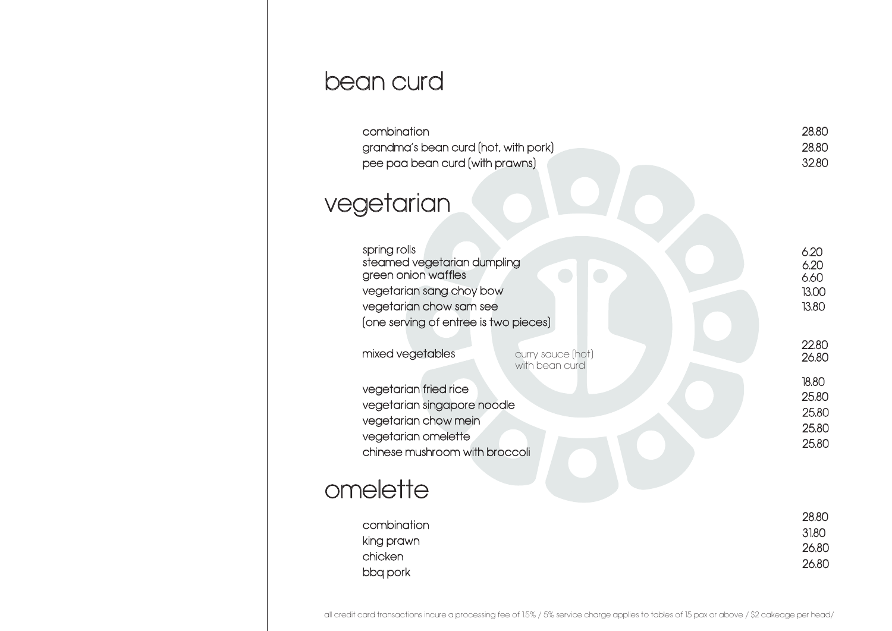### bean curd

| combination<br>grandma's bean curd (hot, with pork)<br>pee paa bean curd (with prawns)                                                                             | 28.80<br>28,80<br>32.80                   |
|--------------------------------------------------------------------------------------------------------------------------------------------------------------------|-------------------------------------------|
| vegetarian                                                                                                                                                         |                                           |
| spring rolls<br>steamed vegetarian dumpling<br>green onion waffles<br>vegetarian sang choy bow<br>vegetarian chow sam see<br>(one serving of entree is two pieces) | 6.20<br>6.20<br>6.60<br>13.00<br>13.80    |
| mixed vegetables<br>curry sauce (hot)<br>with bean curd                                                                                                            | 22.80<br>26.80                            |
| vegetarian fried rice<br>vegetarian singapore noodle<br>vegetarian chow mein<br>vegetarian omelette<br>chinese mushroom with broccoli                              | 18.80<br>25.80<br>25.80<br>25,80<br>25.80 |
| omelette                                                                                                                                                           |                                           |
| combination<br>king prawn<br>chicken<br>bbq pork                                                                                                                   | 28.80<br>31.80<br>26.80<br>26.80          |